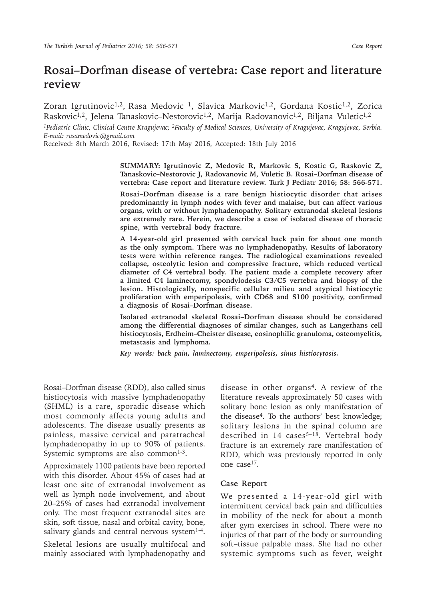# **Rosai–Dorfman disease of vertebra: Case report and literature review**

Zoran Igrutinovic<sup>1,2</sup>, Rasa Medovic<sup>1</sup>, Slavica Markovic<sup>1,2</sup>, Gordana Kostic<sup>1,2</sup>, Zorica Raskovic<sup>1,2</sup>, Jelena Tanaskovic-Nestorovic<sup>1,2</sup>, Marija Radovanovic<sup>1,2</sup>, Biljana Vuletic<sup>1,2</sup>

*1Pediatric Clinic, Clinical Centre Kragujevac; 2Faculty of Medical Sciences, University of Kragujevac, Kragujevac, Serbia. E-mail: rasamedovic@gmail.com*

Received: 8th March 2016, Revised: 17th May 2016, Accepted: 18th July 2016

**SUMMARY: Igrutinovic Z, Medovic R, Markovic S, Kostic G, Raskovic Z, Tanaskovic–Nestorovic J, Radovanovic M, Vuletic B. Rosai–Dorfman disease of vertebra: Case report and literature review. Turk J Pediatr 2016; 58: 566-571.**

**Rosai–Dorfman disease is a rare benign histiocytic disorder that arises predominantly in lymph nodes with fever and malaise, but can affect various organs, with or without lymphadenopathy. Solitary extranodal skeletal lesions are extremely rare. Herein, we describe a case of isolated disease of thoracic spine, with vertebral body fracture.**

**A 14-year-old girl presented with cervical back pain for about one month as the only symptom. There was no lymphadenopathy. Results of laboratory tests were within reference ranges. The radiological examinations revealed collapse, osteolytic lesion and compressive fracture, which reduced vertical diameter of C4 vertebral body. The patient made a complete recovery after a limited C4 laminectomy, spondylodesis C3/C5 vertebra and biopsy of the lesion. Histologically, nonspecific cellular milieu and atypical histiocytic proliferation with emperipolesis, with CD68 and S100 positivity, confirmed a diagnosis of Rosai–Dorfman disease.**

**Isolated extranodal skeletal Rosai–Dorfman disease should be considered among the differential diagnoses of similar changes, such as Langerhans cell histiocytosis, Erdheim–Cheister disease, eosinophilic granuloma, osteomyelitis, metastasis and lymphoma.**

*Key words: back pain, laminectomy, emperipolesis, sinus histiocytosis.*

Rosai–Dorfman disease (RDD), also called sinus histiocytosis with massive lymphadenopathy (SHML) is a rare, sporadic disease which most commonly affects young adults and adolescents. The disease usually presents as painless, massive cervical and paratracheal lymphadenopathy in up to 90% of patients. Systemic symptoms are also common $1-3$ .

Approximately 1100 patients have been reported with this disorder. About 45% of cases had at least one site of extranodal involvement as well as lymph node involvement, and about 20–25% of cases had extranodal involvement only. The most frequent extranodal sites are skin, soft tissue, nasal and orbital cavity, bone, salivary glands and central nervous system $1-4$ .

Skeletal lesions are usually multifocal and mainly associated with lymphadenopathy and

disease in other organs<sup>4</sup>. A review of the literature reveals approximately 50 cases with solitary bone lesion as only manifestation of the disease4. To the authors' best knowledge; solitary lesions in the spinal column are described in 14 cases<sup>5-18</sup>. Vertebral body fracture is an extremely rare manifestation of RDD, which was previously reported in only one case17.

## **Case Report**

We presented a 14-year-old girl with intermittent cervical back pain and difficulties in mobility of the neck for about a month after gym exercises in school. There were no injuries of that part of the body or surrounding soft–tissue palpable mass. She had no other systemic symptoms such as fever, weight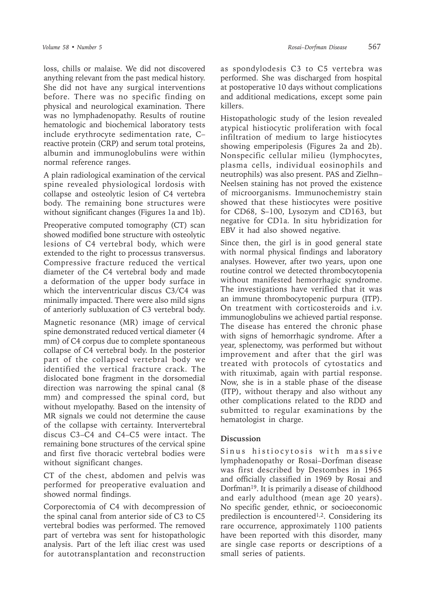loss, chills or malaise. We did not discovered anything relevant from the past medical history. She did not have any surgical interventions before. There was no specific finding on physical and neurological examination. There was no lymphadenopathy. Results of routine hematologic and biochemical laboratory tests include erythrocyte sedimentation rate, C– reactive protein (CRP) and serum total proteins, albumin and immunoglobulins were within normal reference ranges.

A plain radiological examination of the cervical spine revealed physiological lordosis with collapse and osteolytic lesion of C4 vertebra body. The remaining bone structures were without significant changes (Figures 1a and 1b).

Preoperative computed tomography (CT) scan showed modified bone structure with osteolytic lesions of C4 vertebral body, which were extended to the right to processus transversus. Compressive fracture reduced the vertical diameter of the C4 vertebral body and made a deformation of the upper body surface in which the interventricular discus C3/C4 was minimally impacted. There were also mild signs of anteriorly subluxation of C3 vertebral body.

Magnetic resonance (MR) image of cervical spine demonstrated reduced vertical diameter (4 mm) of C4 corpus due to complete spontaneous collapse of C4 vertebral body. In the posterior part of the collapsed vertebral body we identified the vertical fracture crack. The dislocated bone fragment in the dorsomedial direction was narrowing the spinal canal (8 mm) and compressed the spinal cord, but without myelopathy. Based on the intensity of MR signals we could not determine the cause of the collapse with certainty. Intervertebral discus C3–C4 and C4–C5 were intact. The remaining bone structures of the cervical spine and first five thoracic vertebral bodies were without significant changes.

CT of the chest, abdomen and pelvis was performed for preoperative evaluation and showed normal findings.

Corporectomia of C4 with decompression of the spinal canal from anterior side of C3 to C5 vertebral bodies was performed. The removed part of vertebra was sent for histopathologic analysis. Part of the left iliac crest was used for autotransplantation and reconstruction

as spondylodesis C3 to C5 vertebra was performed. She was discharged from hospital at postoperative 10 days without complications and additional medications, except some pain killers.

Histopathologic study of the lesion revealed atypical histiocytic proliferation with focal infiltration of medium to large histiocytes showing emperipolesis (Figures 2a and 2b). Nonspecific cellular milieu (lymphocytes, plasma cells, individual eosinophils and neutrophils) was also present. PAS and Zielhn– Neelsen staining has not proved the existence of microorganisms. Immunochemistry stain showed that these histiocytes were positive for CD68, S–100, Lysozym and CD163, but negative for CD1a. In situ hybridization for EBV it had also showed negative.

Since then, the girl is in good general state with normal physical findings and laboratory analyses. However, after two years, upon one routine control we detected thrombocytopenia without manifested hemorrhagic syndrome. The investigations have verified that it was an immune thrombocytopenic purpura (ITP). On treatment with corticosteroids and i.v. immunoglobulins we achieved partial response. The disease has entered the chronic phase with signs of hemorrhagic syndrome. After a year, splenectomy, was performed but without improvement and after that the girl was treated with protocols of cytostatics and with rituximab, again with partial response. Now, she is in a stable phase of the disease (ITP), without therapy and also without any other complications related to the RDD and submitted to regular examinations by the hematologist in charge.

# **Discussion**

Sinus histiocytosis with massive lymphadenopathy or Rosai–Dorfman disease was first described by Destombes in 1965 and officially classified in 1969 by Rosai and Dorfman19. It is primarily a disease of childhood and early adulthood (mean age 20 years). No specific gender, ethnic, or socioeconomic predilection is encountered<sup>1,2</sup>. Considering its rare occurrence, approximately 1100 patients have been reported with this disorder, many are single case reports or descriptions of a small series of patients.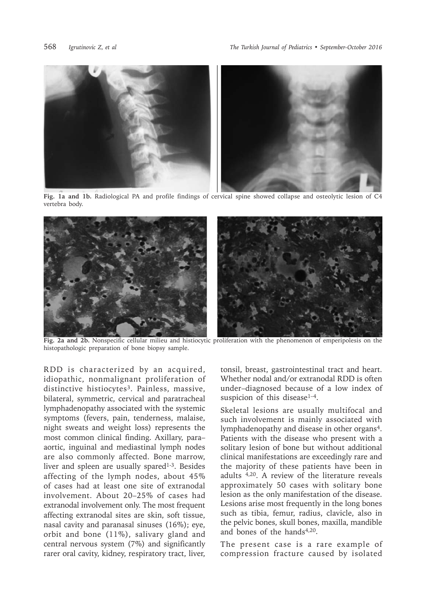

**Fig. 1a and 1b.** Radiological PA and profile findings of cervical spine showed collapse and osteolytic lesion of C4 vertebra body.



**Fig. 2a and 2b.** Nonspecific cellular milieu and histiocytic proliferation with the phenomenon of emperipolesis on the histopathologic preparation of bone biopsy sample.

RDD is characterized by an acquired, idiopathic, nonmalignant proliferation of distinctive histiocytes<sup>3</sup>. Painless, massive, bilateral, symmetric, cervical and paratracheal lymphadenopathy associated with the systemic symptoms (fevers, pain, tenderness, malaise, night sweats and weight loss) represents the most common clinical finding. Axillary, para– aortic, inguinal and mediastinal lymph nodes are also commonly affected. Bone marrow, liver and spleen are usually spared $1-3$ . Besides affecting of the lymph nodes, about 45% of cases had at least one site of extranodal involvement. About 20–25% of cases had extranodal involvement only. The most frequent affecting extranodal sites are skin, soft tissue, nasal cavity and paranasal sinuses (16%); eye, orbit and bone (11%), salivary gland and central nervous system (7%) and significantly rarer oral cavity, kidney, respiratory tract, liver,

tonsil, breast, gastrointestinal tract and heart. Whether nodal and/or extranodal RDD is often under–diagnosed because of a low index of suspicion of this disease<sup>1-4</sup>.

Skeletal lesions are usually multifocal and such involvement is mainly associated with lymphadenopathy and disease in other organs4. Patients with the disease who present with a solitary lesion of bone but without additional clinical manifestations are exceedingly rare and the majority of these patients have been in adults 4,20. A review of the literature reveals approximately 50 cases with solitary bone lesion as the only manifestation of the disease. Lesions arise most frequently in the long bones such as tibia, femur, radius, clavicle, also in the pelvic bones, skull bones, maxilla, mandible and bones of the hands<sup>4,20</sup>.

The present case is a rare example of compression fracture caused by isolated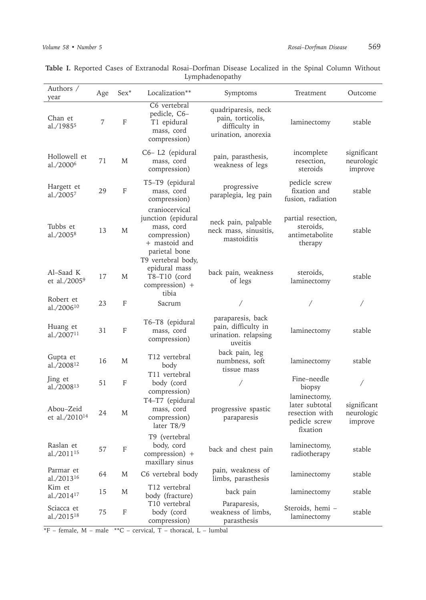| Authors /<br>year                      | Age | $Sex^*$                   | Localization**                                                                                                             | Symptoms                                                                         | Treatment                                                                     | Outcome                              |
|----------------------------------------|-----|---------------------------|----------------------------------------------------------------------------------------------------------------------------|----------------------------------------------------------------------------------|-------------------------------------------------------------------------------|--------------------------------------|
| Chan et<br>al./1985 <sup>5</sup>       | 7   | F                         | C6 vertebral<br>pedicle, C6-<br>T1 epidural<br>mass, cord<br>compression)                                                  | quadriparesis, neck<br>pain, torticolis,<br>difficulty in<br>urination, anorexia | laminectomy                                                                   | stable                               |
| Hollowell et<br>al./2000 <sup>6</sup>  | 71  | M                         | C6-L2 (epidural<br>mass, cord<br>compression)                                                                              | pain, parasthesis,<br>weakness of legs                                           | incomplete<br>resection,<br>steroids                                          | significant<br>neurologic<br>improve |
| Hargett et<br>al./2005 $7$             | 29  | $\mathbf F$               | T5-T9 (epidural<br>mass, cord<br>compression)                                                                              | progressive<br>paraplegia, leg pain                                              | pedicle screw<br>fixation and<br>fusion, radiation                            | stable                               |
| Tubbs et<br>al./2005 <sup>8</sup>      | 13  | M                         | craniocervical<br>junction (epidural<br>mass, cord<br>compression)<br>+ mastoid and<br>parietal bone<br>T9 vertebral body, | neck pain, palpable<br>neck mass, sinusitis,<br>mastoiditis                      | partial resection,<br>steroids,<br>antimetabolite<br>therapy                  | stable                               |
| Al-Saad K<br>et al./2005 <sup>9</sup>  | 17  | M                         | epidural mass<br>$T8-T10$ (cord<br>compression) +<br>tibia                                                                 | back pain, weakness<br>of legs                                                   | steroids,<br>laminectomy                                                      | stable                               |
| Robert et<br>al./2006 <sup>10</sup>    | 23  | F                         | Sacrum                                                                                                                     | Τ                                                                                |                                                                               |                                      |
| Huang et<br>al./2007 <sup>11</sup>     | 31  | F                         | T6-T8 (epidural<br>mass, cord<br>compression)                                                                              | paraparesis, back<br>pain, difficulty in<br>urination. relapsing<br>uveitis      | laminectomy                                                                   | stable                               |
| Gupta et<br>al./2008 <sup>12</sup>     | 16  | M                         | T12 vertebral<br>body                                                                                                      | back pain, leg<br>numbness, soft<br>tissue mass                                  | laminectomy                                                                   | stable                               |
| Jing et<br>al./2008 <sup>13</sup>      | 51  | F                         | T11 vertebral<br>body (cord<br>compression)                                                                                |                                                                                  | Fine-needle<br>biopsy                                                         | Γ                                    |
| Abou-Zeid<br>et al./2010 <sup>14</sup> | 24  | M                         | T4-T7 (epidural<br>mass, cord<br>compression)<br>later T8/9                                                                | progressive spastic<br>paraparesis                                               | laminectomy,<br>later subtotal<br>resection with<br>pedicle screw<br>fixation | significant<br>neurologic<br>improve |
| Raslan et<br>al./2011 <sup>15</sup>    | 57  | F                         | T9 (vertebral<br>body, cord<br>compression) +<br>maxillary sinus                                                           | back and chest pain                                                              | laminectomy,<br>radiotherapy                                                  | stable                               |
| Parmar et<br>al./2013 <sup>16</sup>    | 64  | M                         | C6 vertebral body                                                                                                          | pain, weakness of<br>limbs, parasthesis                                          | laminectomy                                                                   | stable                               |
| Kim et<br>al./201417                   | 15  | M                         | T12 vertebral<br>body (fracture)                                                                                           | back pain                                                                        | laminectomy                                                                   | stable                               |
| Sciacca et<br>al./2015 <sup>18</sup>   | 75  | $\boldsymbol{\mathrm{F}}$ | T10 vertebral<br>body (cord<br>compression)                                                                                | Paraparesis,<br>weakness of limbs,<br>parasthesis                                | Steroids, hemi -<br>laminectomy                                               | stable                               |

**Table I.** Reported Cases of Extranodal Rosai–Dorfman Disease Localized in the Spinal Column Without Lymphadenopathy

 $*\mathsf{F}$  – female, M – male  $*\mathsf{C}$  – cervical, T – thoracal, L – lumbal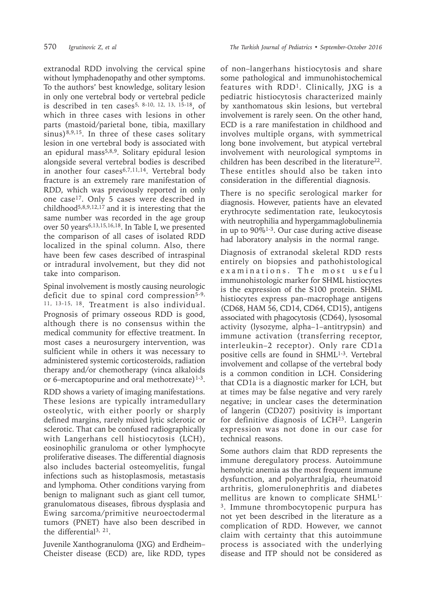extranodal RDD involving the cervical spine without lymphadenopathy and other symptoms. To the authors' best knowledge, solitary lesion in only one vertebral body or vertebral pedicle is described in ten cases<sup>5, 8-10, 12, 13, 15-18</sup>, of which in three cases with lesions in other parts (mastoid/parietal bone, tibia, maxillary  $sinus)$ <sup>8,9,15</sup>. In three of these cases solitary lesion in one vertebral body is associated with an epidural mass<sup>5,8,9</sup>. Solitary epidural lesion alongside several vertebral bodies is described in another four cases6,7,11,14. Vertebral body fracture is an extremely rare manifestation of RDD, which was previously reported in only one case17. Only 5 cases were described in childhood<sup>5,8,9,12,17</sup> and it is interesting that the same number was recorded in the age group over 50 years6,13,15,16,18. In Table I, we presented the comparison of all cases of isolated RDD localized in the spinal column. Also, there have been few cases described of intraspinal or intradural involvement, but they did not take into comparison.

Spinal involvement is mostly causing neurologic deficit due to spinal cord compression<sup>5-9,</sup> 11, 13-15, 18. Treatment is also individual. Prognosis of primary osseous RDD is good, although there is no consensus within the medical community for effective treatment. In most cases a neurosurgery intervention, was sulficient while in others it was necessary to administered systemic corticosteroids, radiation therapy and/or chemotherapy (vinca alkaloids or 6–mercaptopurine and oral methotrexate) $1-3$ .

RDD shows a variety of imaging manifestations. These lesions are typically intramedullary osteolytic, with either poorly or sharply defined margins, rarely mixed lytic sclerotic or sclerotic. That can be confused radiographically with Langerhans cell histiocytosis (LCH), eosinophilic granuloma or other lymphocyte proliferative diseases. The differential diagnosis also includes bacterial osteomyelitis, fungal infections such as histoplasmosis, metastasis and lymphoma. Other conditions varying from benign to malignant such as giant cell tumor, granulomatous diseases, fibrous dysplasia and Ewing sarcoma/primitive neuroectodermal tumors (PNET) have also been described in the differential3, 21.

Juvenile Xanthogranuloma (JXG) and Erdheim– Cheister disease (ECD) are, like RDD, types of non–langerhans histiocytosis and share some pathological and immunohistochemical features with RDD1. Clinically, JXG is a pediatric histiocytosis characterized mainly by xanthomatous skin lesions, but vertebral involvement is rarely seen. On the other hand, ECD is a rare manifestation in childhood and involves multiple organs, with symmetrical long bone involvement, but atypical vertebral involvement with neurological symptoms in children has been described in the literature $^{22}$ . These entitles should also be taken into consideration in the differential diagnosis.

There is no specific serological marker for diagnosis. However, patients have an elevated erythrocyte sedimentation rate, leukocytosis with neutrophilia and hypergammaglobulinemia in up to 90%1-3. Our case during active disease had laboratory analysis in the normal range.

Diagnosis of extranodal skeletal RDD rests entirely on biopsies and pathohistological examinations. The most useful immunohistologic marker for SHML histiocytes is the expression of the S100 protein. SHML histiocytes express pan–macrophage antigens (CD68, HAM 56, CD14, CD64, CD15), antigens associated with phagocytosis (CD64), lysosomal activity (lysozyme, alpha–1–antitrypsin) and immune activation (transferring receptor, interleukin–2 receptor). Only rare CD1a positive cells are found in SHML<sup>1-3</sup>. Vertebral involvement and collapse of the vertebral body is a common condition in LCH. Considering that CD1a is a diagnostic marker for LCH, but at times may be false negative and very rarely negative; in unclear cases the determination of langerin (CD207) positivity is important for definitive diagnosis of LCH23. Langerin expression was not done in our case for technical reasons.

Some authors claim that RDD represents the immune deregulatory process. Autoimmune hemolytic anemia as the most frequent immune dysfunction, and polyarthralgia, rheumatoid arthritis, glomerulonephritis and diabetes mellitus are known to complicate SHML1- 3. Immune thrombocytopenic purpura has not yet been described in the literature as a complication of RDD. However, we cannot claim with certainty that this autoimmune process is associated with the underlying disease and ITP should not be considered as